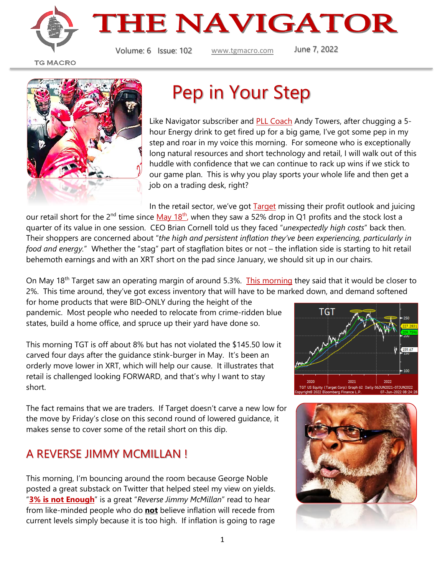



Volume: 6 Issue: 102 [www.tgmacro.com](http://www.tgmacro.com/) June 7, 2022

**TG MACRO** 



## Pep in Your Step

Like Navigator subscriber and **PLL Coach** Andy Towers, after chugging a 5hour Energy drink to get fired up for a big game, I've got some pep in my step and roar in my voice this morning. For someone who is exceptionally long natural resources and short technology and retail, I will walk out of this huddle with confidence that we can continue to rack up wins if we stick to our game plan. This is why you play sports your whole life and then get a job on a trading desk, right?

In the retail sector, we've got **[Target](https://www.zerohedge.com/markets/target-crashes-after-cutting-profit-outlook-2nd-time-two-weeks-due-excess-inventory)** missing their profit outlook and juicing

our retail short for the 2<sup>nd</sup> time since [May 18](https://www.cnn.com/2022/05/18/investing/target-earnings-inflation/index.html)<sup>th</sup>, when they saw a 52% drop in Q1 profits and the stock lost a quarter of its value in one session. CEO Brian Cornell told us they faced "*unexpectedly high costs*" back then. Their shoppers are concerned about "*the high and persistent inflation they've been experiencing, particularly in food and energy.*" Whether the "stag" part of stagflation bites or not – the inflation side is starting to hit retail behemoth earnings and with an XRT short on the pad since January, we should sit up in our chairs.

On May 18th Target saw an operating margin of around 5.3%. [This morning](https://www.startribune.com/target-will-slash-prices-to-get-rid-of-inventory-warns-profit-will-shrink-this-summer/600179915/) they said that it would be closer to 2%. This time around, they've got excess inventory that will have to be marked down, and demand softened

for home products that were BID-ONLY during the height of the pandemic. Most people who needed to relocate from crime-ridden blue states, build a home office, and spruce up their yard have done so.

This morning TGT is off about 8% but has not violated the \$145.50 low it carved four days after the guidance stink-burger in May. It's been an orderly move lower in XRT, which will help our cause. It illustrates that retail is challenged looking FORWARD, and that's why I want to stay short.

The fact remains that we are traders. If Target doesn't carve a new low for the move by Friday's close on this second round of lowered guidance, it makes sense to cover some of the retail short on this dip.

### A REVERSE JIMMY MCMILLAN !

This morning, I'm bouncing around the room because George Noble posted a great substack on Twitter that helped steel my view on yields. "**[3% is not Enough](https://nexteconomy.substack.com/p/3-is-not-enough?r=35saq&utm_medium=ios&s=r)**" is a great "*Reverse Jimmy McMillan*" read to hear from like-minded people who do **not** believe inflation will recede from current levels simply because it is too high. If inflation is going to rage



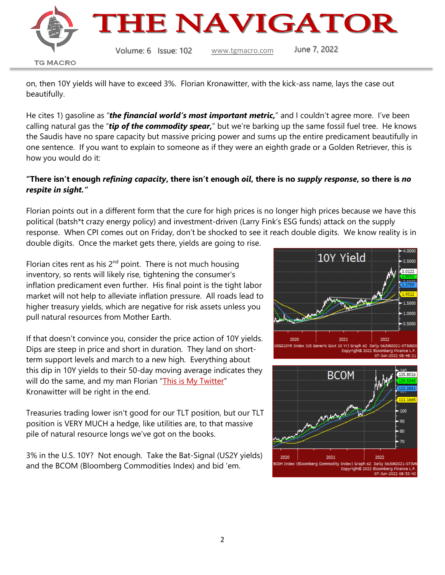

on, then 10Y yields will have to exceed 3%. Florian Kronawitter, with the kick-ass name, lays the case out beautifully.

He cites 1) gasoline as "*the financial world's most important metric,*" and I couldn't agree more. I've been calling natural gas the "*tip of the commodity spear,*" but we're barking up the same fossil fuel tree. He knows the Saudis have no spare capacity but massive pricing power and sums up the entire predicament beautifully in one sentence. If you want to explain to someone as if they were an eighth grade or a Golden Retriever, this is how you would do it:

#### **"There isn't enough** *refining capacity***, there isn't enough** *oil***, there is no** *supply response***, so there is** *no respite in sight."*

Florian points out in a different form that the cure for high prices is no longer high prices because we have this political (batsh\*t crazy energy policy) and investment-driven (Larry Fink's ESG funds) attack on the supply response. When CPI comes out on Friday, don't be shocked to see it reach double digits. We know reality is in double digits. Once the market gets there, yields are going to rise.

Florian cites rent as his  $2<sup>nd</sup>$  point. There is not much housing inventory, so rents will likely rise, tightening the consumer's inflation predicament even further. His final point is the tight labor market will not help to alleviate inflation pressure. All roads lead to higher treasury yields, which are negative for risk assets unless you pull natural resources from Mother Earth.

If that doesn't convince you, consider the price action of 10Y yields. Dips are steep in price and short in duration. They land on shortterm support levels and march to a new high. Everything about this dip in 10Y yields to their 50-day moving average indicates they will do the same, and my man Florian "[This is My](https://twitter.com/fkronawitter1) Twitter" Kronawitter will be right in the end.

Treasuries trading lower isn't good for our TLT position, but our TLT position is VERY MUCH a hedge, like utilities are, to that massive pile of natural resource longs we've got on the books.

3% in the U.S. 10Y? Not enough. Take the Bat-Signal (US2Y yields) and the BCOM (Bloomberg Commodities Index) and bid 'em.



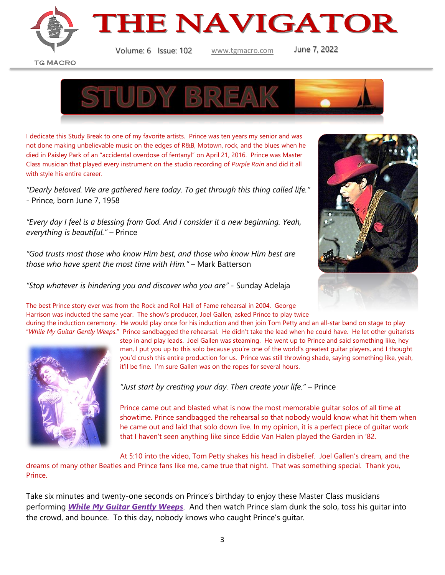

**THE NAVIGATOR** 

Volume: 6 Issue: 102 [www.tgmacro.com](http://www.tgmacro.com/) June 7, 2022

**TG MACRO** 



I dedicate this Study Break to one of my favorite artists. Prince was ten years my senior and was not done making unbelievable music on the edges of R&B, Motown, rock, and the blues when he died in Paisley Park of an "accidental overdose of fentanyl" on April 21, 2016. Prince was Master Class musician that played every instrument on the studio recording of *Purple Rain* and did it all with style his entire career.

*"Dearly beloved. We are gathered here today. To get through this thing called life."* - Prince, born June 7, 1958

*"Every day I feel is a blessing from God. And I consider it a new beginning. Yeah, everything is beautiful."* – Prince

*"God trusts most those who know Him best, and those who know Him best are those who have spent the most time with Him."* – Mark Batterson

*"Stop whatever is hindering you and discover who you are"* - Sunday Adelaja



The best Prince story ever was from the Rock and Roll Hall of Fame rehearsal in 2004. George Harrison was inducted the same year. The show's producer, Joel Gallen, asked Prince to play twice

during the induction ceremony. He would play once for his induction and then join Tom Petty and an all-star band on stage to play "*While My Guitar Gently Weeps*." Prince sandbagged the rehearsal. He didn't take the lead when he could have. He let other guitarists



step in and play leads. Joel Gallen was steaming. He went up to Prince and said something like, hey man, I put you up to this solo because you're one of the world's greatest guitar players, and I thought you'd crush this entire production for us. Prince was still throwing shade, saying something like, yeah, it'll be fine. I'm sure Gallen was on the ropes for several hours.

*"Just start by creating your day. Then create your life."* – Prince

Prince came out and blasted what is now the most memorable guitar solos of all time at showtime. Prince sandbagged the rehearsal so that nobody would know what hit them when he came out and laid that solo down live. In my opinion, it is a perfect piece of guitar work that I haven't seen anything like since Eddie Van Halen played the Garden in '82.

At 5:10 into the video, Tom Petty shakes his head in disbelief. Joel Gallen's dream, and the

dreams of many other Beatles and Prince fans like me, came true that night. That was something special. Thank you, Prince.

Take six minutes and twenty-one seconds on Prince's birthday to enjoy these Master Class musicians performing *[While My Guitar Gently Weeps](https://www.youtube.com/watch?v=dWRCooFKk3c)*. And then watch Prince slam dunk the solo, toss his guitar into the crowd, and bounce. To this day, nobody knows who caught Prince's guitar.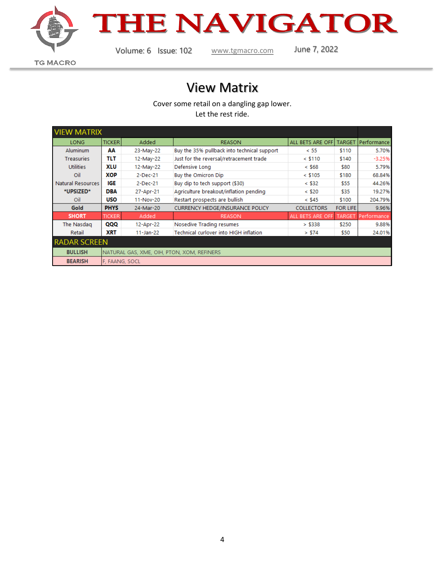

# THE NAVIGATOR

Volume: 6 Issue: 102 [www.tgmacro.com](http://www.tgmacro.com/) June 7, 2022

**TG MACRO** 

## View Matrix

Cover some retail on a dangling gap lower.

Let the rest ride.

| <b>VIEW MATRIX</b>  |                                            |               |                                             |                   |                 |             |
|---------------------|--------------------------------------------|---------------|---------------------------------------------|-------------------|-----------------|-------------|
| <b>LONG</b>         | <b>TICKER</b>                              | Added         | <b>REASON</b>                               | ALL BETS ARE OFF  | <b>TARGET</b>   | Performance |
| <b>Aluminum</b>     | АΑ                                         | 23-May-22     | Buy the 35% pullback into technical support | < 55              | \$110           | 5.70%       |
| <b>Treasuries</b>   | TLT                                        | 12-May-22     | Just for the reversal/retracement trade     | $<$ \$110         | \$140           | $-3.25%$    |
| <b>Utilities</b>    | XLU                                        | 12-May-22     | Defensive Long                              | $<$ \$68          | \$80            | 5.79%       |
| Oil                 | XOP                                        | 2-Dec-21      | <b>Buy the Omicron Dip</b>                  | $<$ \$105         | \$180           | 68.84%      |
| Natural Resources   | IGE                                        | 2-Dec-21      | Buy dip to tech support (\$30)              | $<$ \$32          | \$55            | 44.26%      |
| *UPSIZED*           | <b>DBA</b>                                 | 27-Apr-21     | Agriculture breakout/inflation pending      | $<$ \$20          | \$35            | 19.27%      |
| Oil                 | <b>USO</b>                                 | 11-Nov-20     | Restart prospects are bullish               | $<$ \$45          | \$100           | 204.79%     |
| Gold                | <b>PHYS</b>                                | 24-Mar-20     | <b>CURRENCY HEDGE/INSURANCE POLICY</b>      | <b>COLLECTORS</b> | <b>FOR LIFE</b> | 9.96%       |
| <b>SHORT</b>        | <b>TICKER</b>                              | Added         | <b>REASON</b>                               | ALL BETS ARE OFF  | <b>TARGET</b>   | Performance |
| The Nasdag          | QQQ                                        | 12-Apr-22     | Nosedive Trading resumes                    | > \$338           | \$250           | 9.88%       |
| Retail              | <b>XRT</b>                                 | $11 - Jan-22$ | Technical curlover into HIGH inflation      | > \$74            | \$50            | 24.01%      |
| <b>RADAR SCREEN</b> |                                            |               |                                             |                   |                 |             |
| <b>BULLISH</b>      | NATURAL GAS, XME, OIH, PTON, XOM, REFINERS |               |                                             |                   |                 |             |
| <b>BEARISH</b>      | F, FAANG, SOCL                             |               |                                             |                   |                 |             |